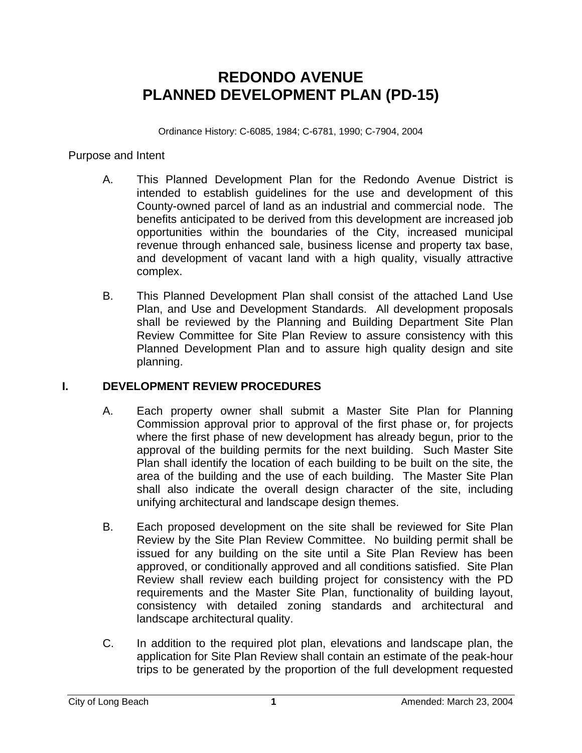## **REDONDO AVENUE PLANNED DEVELOPMENT PLAN (PD-15)**

Ordinance History: C-6085, 1984; C-6781, 1990; C-7904, 2004

#### Purpose and Intent

- A. This Planned Development Plan for the Redondo Avenue District is intended to establish guidelines for the use and development of this County-owned parcel of land as an industrial and commercial node. The benefits anticipated to be derived from this development are increased job opportunities within the boundaries of the City, increased municipal revenue through enhanced sale, business license and property tax base, and development of vacant land with a high quality, visually attractive complex.
- B. This Planned Development Plan shall consist of the attached Land Use Plan, and Use and Development Standards. All development proposals shall be reviewed by the Planning and Building Department Site Plan Review Committee for Site Plan Review to assure consistency with this Planned Development Plan and to assure high quality design and site planning.

### **I. DEVELOPMENT REVIEW PROCEDURES**

- A. Each property owner shall submit a Master Site Plan for Planning Commission approval prior to approval of the first phase or, for projects where the first phase of new development has already begun, prior to the approval of the building permits for the next building. Such Master Site Plan shall identify the location of each building to be built on the site, the area of the building and the use of each building. The Master Site Plan shall also indicate the overall design character of the site, including unifying architectural and landscape design themes.
- B. Each proposed development on the site shall be reviewed for Site Plan Review by the Site Plan Review Committee. No building permit shall be issued for any building on the site until a Site Plan Review has been approved, or conditionally approved and all conditions satisfied. Site Plan Review shall review each building project for consistency with the PD requirements and the Master Site Plan, functionality of building layout, consistency with detailed zoning standards and architectural and landscape architectural quality.
- C. In addition to the required plot plan, elevations and landscape plan, the application for Site Plan Review shall contain an estimate of the peak-hour trips to be generated by the proportion of the full development requested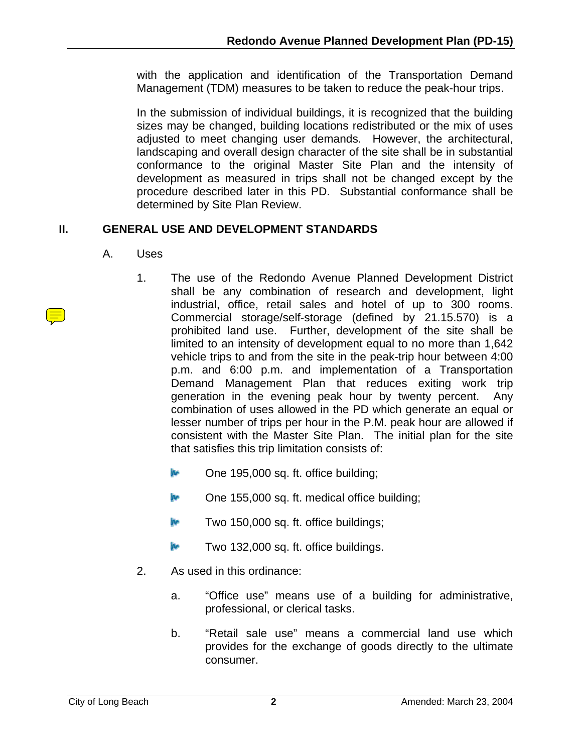with the application and identification of the Transportation Demand Management (TDM) measures to be taken to reduce the peak-hour trips.

In the submission of individual buildings, it is recognized that the building sizes may be changed, building locations redistributed or the mix of uses adjusted to meet changing user demands. However, the architectural, landscaping and overall design character of the site shall be in substantial conformance to the original Master Site Plan and the intensity of development as measured in trips shall not be changed except by the procedure described later in this PD. Substantial conformance shall be determined by Site Plan Review.

### **II. GENERAL USE AND DEVELOPMENT STANDARDS**

- A. Uses
	- 1. The use of the Redondo Avenue Planned Development District shall be any combination of research and development, light industrial, office, retail sales and hotel of up to 300 rooms. Commercial storage/self-storage (defined by 21.15.570) is a prohibited land use. Further, development of the site shall be limited to an intensity of development equal to no more than 1,642 vehicle trips to and from the site in the peak-trip hour between 4:00 p.m. and 6:00 p.m. and implementation of a Transportation Demand Management Plan that reduces exiting work trip generation in the evening peak hour by twenty percent. Any combination of uses allowed in the PD which generate an equal or lesser number of trips per hour in the P.M. peak hour are allowed if consistent with the Master Site Plan. The initial plan for the site that satisfies this trip limitation consists of:
		- **EXECUTE:** One 195,000 sq. ft. office building;
		- $\mathbb{R}$  One 155,000 sq. ft. medical office building;
		- **Two 150,000 sq. ft. office buildings;**
		- **Two 132,000 sq. ft. office buildings.**
	- 2. As used in this ordinance:
		- a. "Office use" means use of a building for administrative, professional, or clerical tasks.
		- b. "Retail sale use" means a commercial land use which provides for the exchange of goods directly to the ultimate consumer.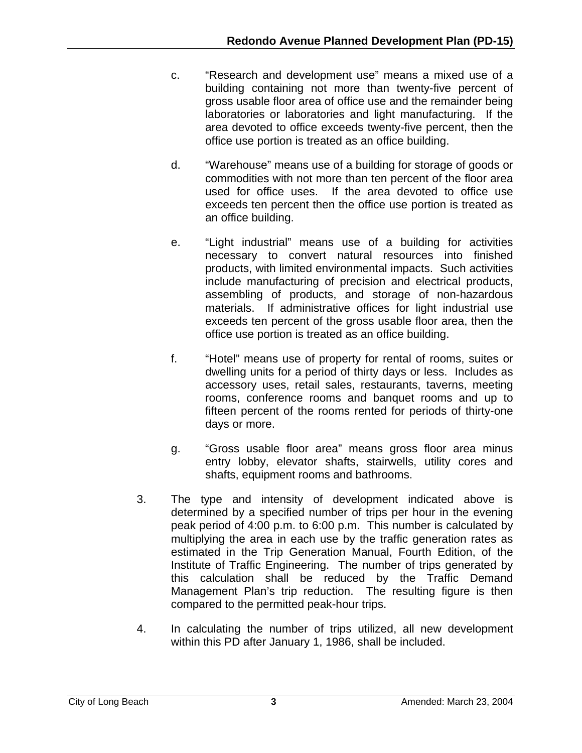- c. "Research and development use" means a mixed use of a building containing not more than twenty-five percent of gross usable floor area of office use and the remainder being laboratories or laboratories and light manufacturing. If the area devoted to office exceeds twenty-five percent, then the office use portion is treated as an office building.
- d. "Warehouse" means use of a building for storage of goods or commodities with not more than ten percent of the floor area used for office uses. If the area devoted to office use exceeds ten percent then the office use portion is treated as an office building.
- e. "Light industrial" means use of a building for activities necessary to convert natural resources into finished products, with limited environmental impacts. Such activities include manufacturing of precision and electrical products, assembling of products, and storage of non-hazardous materials. If administrative offices for light industrial use exceeds ten percent of the gross usable floor area, then the office use portion is treated as an office building.
- f. "Hotel" means use of property for rental of rooms, suites or dwelling units for a period of thirty days or less. Includes as accessory uses, retail sales, restaurants, taverns, meeting rooms, conference rooms and banquet rooms and up to fifteen percent of the rooms rented for periods of thirty-one days or more.
- g. "Gross usable floor area" means gross floor area minus entry lobby, elevator shafts, stairwells, utility cores and shafts, equipment rooms and bathrooms.
- 3. The type and intensity of development indicated above is determined by a specified number of trips per hour in the evening peak period of 4:00 p.m. to 6:00 p.m. This number is calculated by multiplying the area in each use by the traffic generation rates as estimated in the Trip Generation Manual, Fourth Edition, of the Institute of Traffic Engineering. The number of trips generated by this calculation shall be reduced by the Traffic Demand Management Plan's trip reduction. The resulting figure is then compared to the permitted peak-hour trips.
- 4. In calculating the number of trips utilized, all new development within this PD after January 1, 1986, shall be included.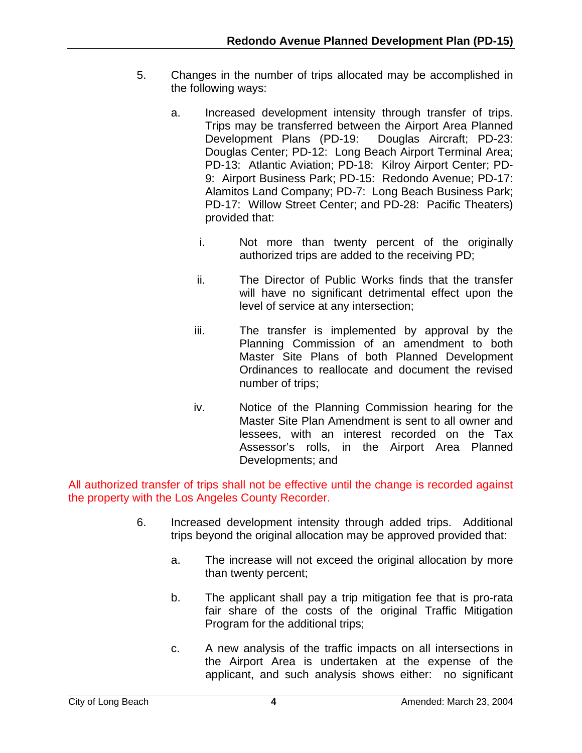- 5. Changes in the number of trips allocated may be accomplished in the following ways:
	- a. Increased development intensity through transfer of trips. Trips may be transferred between the Airport Area Planned Development Plans (PD-19: Douglas Aircraft; PD-23: Douglas Center; PD-12: Long Beach Airport Terminal Area; PD-13: Atlantic Aviation; PD-18: Kilroy Airport Center; PD-9: Airport Business Park; PD-15: Redondo Avenue; PD-17: Alamitos Land Company; PD-7: Long Beach Business Park; PD-17: Willow Street Center; and PD-28: Pacific Theaters) provided that:
		- i. Not more than twenty percent of the originally authorized trips are added to the receiving PD;
		- ii. The Director of Public Works finds that the transfer will have no significant detrimental effect upon the level of service at any intersection;
		- iii. The transfer is implemented by approval by the Planning Commission of an amendment to both Master Site Plans of both Planned Development Ordinances to reallocate and document the revised number of trips;
		- iv. Notice of the Planning Commission hearing for the Master Site Plan Amendment is sent to all owner and lessees, with an interest recorded on the Tax Assessor's rolls, in the Airport Area Planned Developments; and

All authorized transfer of trips shall not be effective until the change is recorded against the property with the Los Angeles County Recorder.

- 6. Increased development intensity through added trips. Additional trips beyond the original allocation may be approved provided that:
	- a. The increase will not exceed the original allocation by more than twenty percent;
	- b. The applicant shall pay a trip mitigation fee that is pro-rata fair share of the costs of the original Traffic Mitigation Program for the additional trips;
	- c. A new analysis of the traffic impacts on all intersections in the Airport Area is undertaken at the expense of the applicant, and such analysis shows either: no significant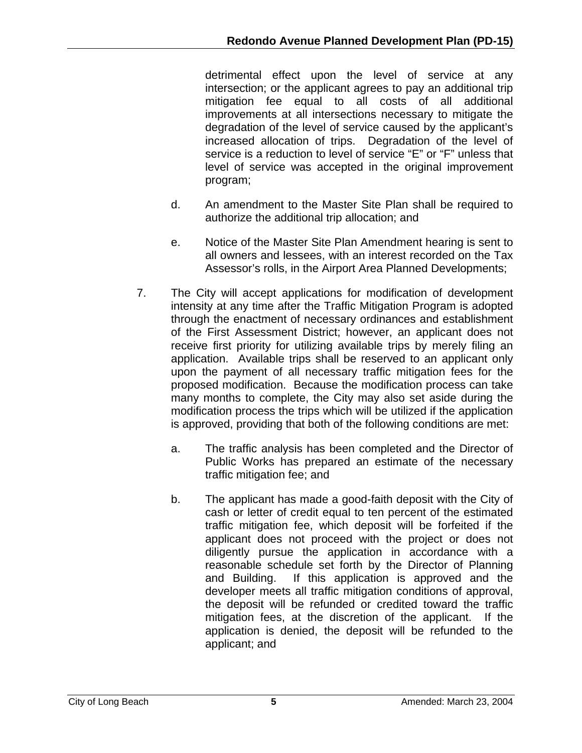detrimental effect upon the level of service at any intersection; or the applicant agrees to pay an additional trip mitigation fee equal to all costs of all additional improvements at all intersections necessary to mitigate the degradation of the level of service caused by the applicant's increased allocation of trips. Degradation of the level of service is a reduction to level of service "E" or "F" unless that level of service was accepted in the original improvement program;

- d. An amendment to the Master Site Plan shall be required to authorize the additional trip allocation; and
- e. Notice of the Master Site Plan Amendment hearing is sent to all owners and lessees, with an interest recorded on the Tax Assessor's rolls, in the Airport Area Planned Developments;
- 7. The City will accept applications for modification of development intensity at any time after the Traffic Mitigation Program is adopted through the enactment of necessary ordinances and establishment of the First Assessment District; however, an applicant does not receive first priority for utilizing available trips by merely filing an application. Available trips shall be reserved to an applicant only upon the payment of all necessary traffic mitigation fees for the proposed modification. Because the modification process can take many months to complete, the City may also set aside during the modification process the trips which will be utilized if the application is approved, providing that both of the following conditions are met:
	- a. The traffic analysis has been completed and the Director of Public Works has prepared an estimate of the necessary traffic mitigation fee; and
	- b. The applicant has made a good-faith deposit with the City of cash or letter of credit equal to ten percent of the estimated traffic mitigation fee, which deposit will be forfeited if the applicant does not proceed with the project or does not diligently pursue the application in accordance with a reasonable schedule set forth by the Director of Planning and Building. If this application is approved and the developer meets all traffic mitigation conditions of approval, the deposit will be refunded or credited toward the traffic mitigation fees, at the discretion of the applicant. If the application is denied, the deposit will be refunded to the applicant; and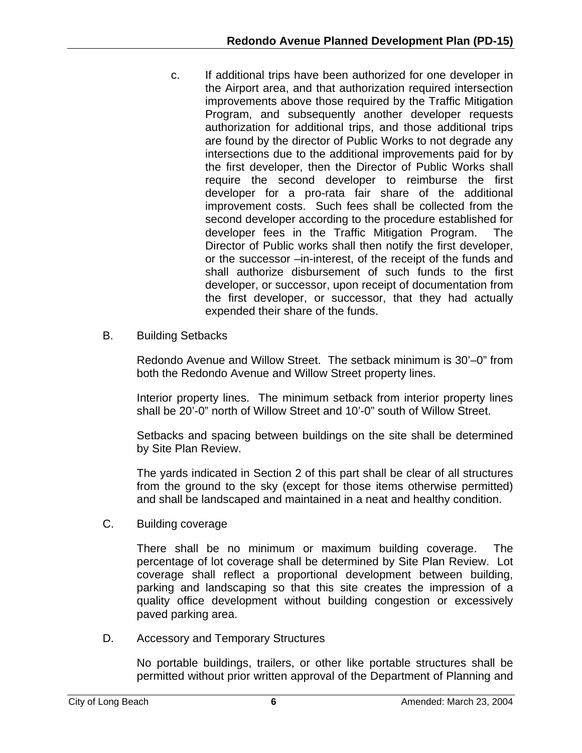- c. If additional trips have been authorized for one developer in the Airport area, and that authorization required intersection improvements above those required by the Traffic Mitigation Program, and subsequently another developer requests authorization for additional trips, and those additional trips are found by the director of Public Works to not degrade any intersections due to the additional improvements paid for by the first developer, then the Director of Public Works shall require the second developer to reimburse the first developer for a pro-rata fair share of the additional improvement costs. Such fees shall be collected from the second developer according to the procedure established for developer fees in the Traffic Mitigation Program. The Director of Public works shall then notify the first developer, or the successor –in-interest, of the receipt of the funds and shall authorize disbursement of such funds to the first developer, or successor, upon receipt of documentation from the first developer, or successor, that they had actually expended their share of the funds.
- B. Building Setbacks

Redondo Avenue and Willow Street. The setback minimum is 30'–0" from both the Redondo Avenue and Willow Street property lines.

Interior property lines. The minimum setback from interior property lines shall be 20'-0" north of Willow Street and 10'-0" south of Willow Street.

Setbacks and spacing between buildings on the site shall be determined by Site Plan Review.

The yards indicated in Section 2 of this part shall be clear of all structures from the ground to the sky (except for those items otherwise permitted) and shall be landscaped and maintained in a neat and healthy condition.

C. Building coverage

There shall be no minimum or maximum building coverage. The percentage of lot coverage shall be determined by Site Plan Review. Lot coverage shall reflect a proportional development between building, parking and landscaping so that this site creates the impression of a quality office development without building congestion or excessively paved parking area.

D. Accessory and Temporary Structures

No portable buildings, trailers, or other like portable structures shall be permitted without prior written approval of the Department of Planning and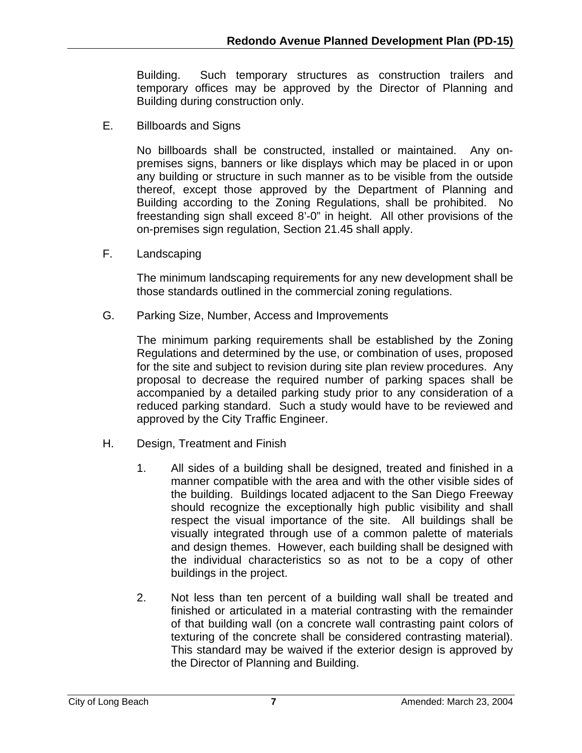Building. Such temporary structures as construction trailers and temporary offices may be approved by the Director of Planning and Building during construction only.

E. Billboards and Signs

No billboards shall be constructed, installed or maintained. Any onpremises signs, banners or like displays which may be placed in or upon any building or structure in such manner as to be visible from the outside thereof, except those approved by the Department of Planning and Building according to the Zoning Regulations, shall be prohibited. No freestanding sign shall exceed 8'-0" in height. All other provisions of the on-premises sign regulation, Section 21.45 shall apply.

F. Landscaping

The minimum landscaping requirements for any new development shall be those standards outlined in the commercial zoning regulations.

G. Parking Size, Number, Access and Improvements

The minimum parking requirements shall be established by the Zoning Regulations and determined by the use, or combination of uses, proposed for the site and subject to revision during site plan review procedures. Any proposal to decrease the required number of parking spaces shall be accompanied by a detailed parking study prior to any consideration of a reduced parking standard. Such a study would have to be reviewed and approved by the City Traffic Engineer.

- H. Design, Treatment and Finish
	- 1. All sides of a building shall be designed, treated and finished in a manner compatible with the area and with the other visible sides of the building. Buildings located adjacent to the San Diego Freeway should recognize the exceptionally high public visibility and shall respect the visual importance of the site. All buildings shall be visually integrated through use of a common palette of materials and design themes. However, each building shall be designed with the individual characteristics so as not to be a copy of other buildings in the project.
	- 2. Not less than ten percent of a building wall shall be treated and finished or articulated in a material contrasting with the remainder of that building wall (on a concrete wall contrasting paint colors of texturing of the concrete shall be considered contrasting material). This standard may be waived if the exterior design is approved by the Director of Planning and Building.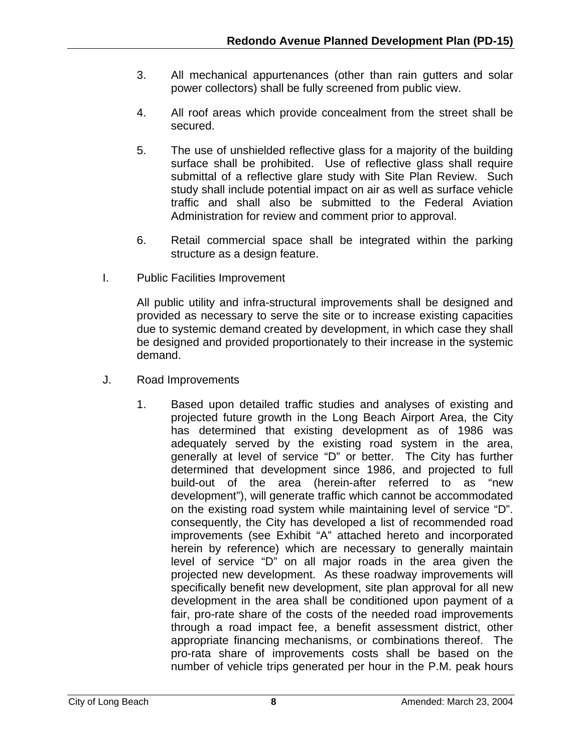- 3. All mechanical appurtenances (other than rain gutters and solar power collectors) shall be fully screened from public view.
- 4. All roof areas which provide concealment from the street shall be secured.
- 5. The use of unshielded reflective glass for a majority of the building surface shall be prohibited. Use of reflective glass shall require submittal of a reflective glare study with Site Plan Review. Such study shall include potential impact on air as well as surface vehicle traffic and shall also be submitted to the Federal Aviation Administration for review and comment prior to approval.
- 6. Retail commercial space shall be integrated within the parking structure as a design feature.
- I. Public Facilities Improvement

All public utility and infra-structural improvements shall be designed and provided as necessary to serve the site or to increase existing capacities due to systemic demand created by development, in which case they shall be designed and provided proportionately to their increase in the systemic demand.

- J. Road Improvements
	- 1. Based upon detailed traffic studies and analyses of existing and projected future growth in the Long Beach Airport Area, the City has determined that existing development as of 1986 was adequately served by the existing road system in the area, generally at level of service "D" or better. The City has further determined that development since 1986, and projected to full build-out of the area (herein-after referred to as "new development"), will generate traffic which cannot be accommodated on the existing road system while maintaining level of service "D". consequently, the City has developed a list of recommended road improvements (see Exhibit "A" attached hereto and incorporated herein by reference) which are necessary to generally maintain level of service "D" on all major roads in the area given the projected new development. As these roadway improvements will specifically benefit new development, site plan approval for all new development in the area shall be conditioned upon payment of a fair, pro-rate share of the costs of the needed road improvements through a road impact fee, a benefit assessment district, other appropriate financing mechanisms, or combinations thereof. The pro-rata share of improvements costs shall be based on the number of vehicle trips generated per hour in the P.M. peak hours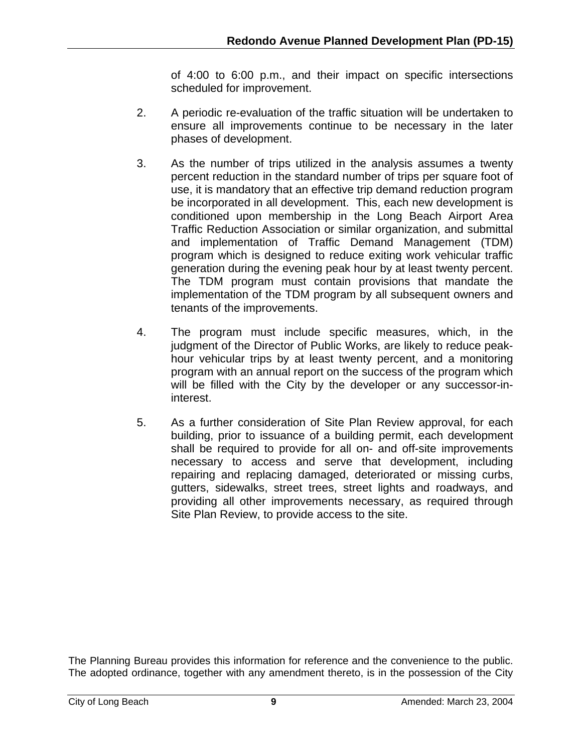of 4:00 to 6:00 p.m., and their impact on specific intersections scheduled for improvement.

- 2. A periodic re-evaluation of the traffic situation will be undertaken to ensure all improvements continue to be necessary in the later phases of development.
- 3. As the number of trips utilized in the analysis assumes a twenty percent reduction in the standard number of trips per square foot of use, it is mandatory that an effective trip demand reduction program be incorporated in all development. This, each new development is conditioned upon membership in the Long Beach Airport Area Traffic Reduction Association or similar organization, and submittal and implementation of Traffic Demand Management (TDM) program which is designed to reduce exiting work vehicular traffic generation during the evening peak hour by at least twenty percent. The TDM program must contain provisions that mandate the implementation of the TDM program by all subsequent owners and tenants of the improvements.
- 4. The program must include specific measures, which, in the judgment of the Director of Public Works, are likely to reduce peakhour vehicular trips by at least twenty percent, and a monitoring program with an annual report on the success of the program which will be filled with the City by the developer or any successor-ininterest.
- 5. As a further consideration of Site Plan Review approval, for each building, prior to issuance of a building permit, each development shall be required to provide for all on- and off-site improvements necessary to access and serve that development, including repairing and replacing damaged, deteriorated or missing curbs, gutters, sidewalks, street trees, street lights and roadways, and providing all other improvements necessary, as required through Site Plan Review, to provide access to the site.

The Planning Bureau provides this information for reference and the convenience to the public. The adopted ordinance, together with any amendment thereto, is in the possession of the City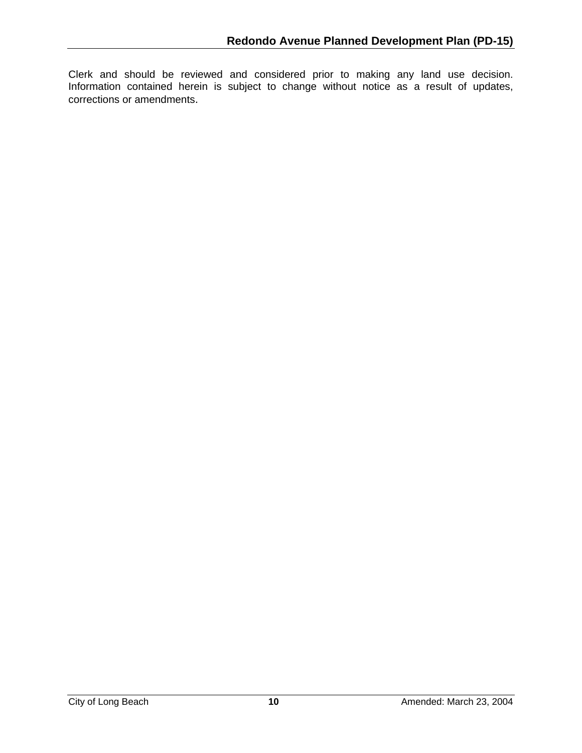Clerk and should be reviewed and considered prior to making any land use decision. Information contained herein is subject to change without notice as a result of updates, corrections or amendments.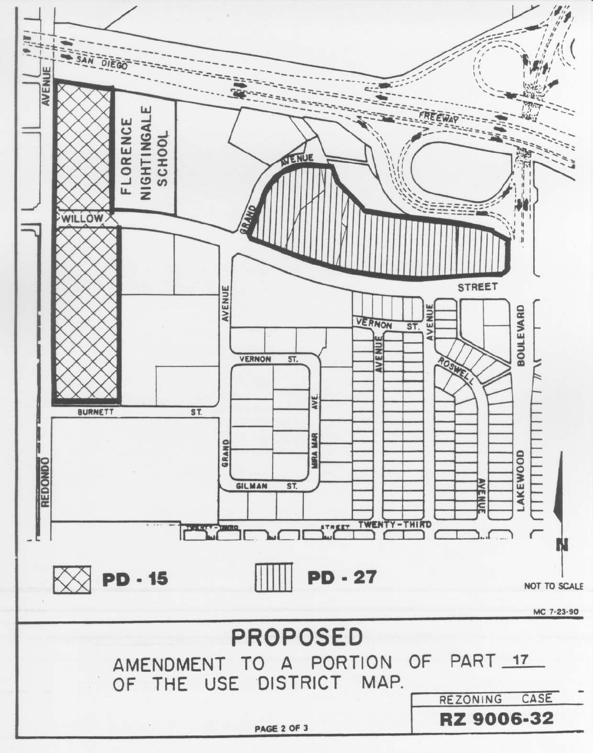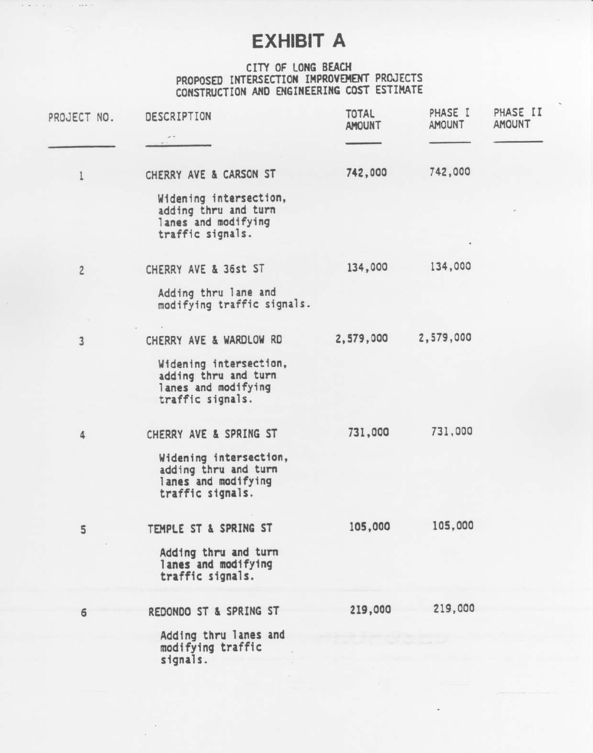# **EXHIBIT A**

# CITY OF LONG BEACH PROPOSED INTERSECTION IMPROVEMENT PROJECTS<br>CONSTRUCTION AND ENGINEERING COST ESTIMATE

| PROJECT NO.    | DESCRIPTION                                                                               | <b>TOTAL</b><br><b>AMOUNT</b> | PHASE I<br><b>AMOUNT</b> | PHASE II<br><b>AMOUNT</b> |
|----------------|-------------------------------------------------------------------------------------------|-------------------------------|--------------------------|---------------------------|
|                |                                                                                           |                               |                          |                           |
| 1              | CHERRY AVE & CARSON ST                                                                    | 742,000                       | 742,000                  |                           |
|                | Widening intersection,<br>adding thru and turn<br>lanes and modifying<br>traffic signals. |                               |                          |                           |
| $\overline{2}$ | CHERRY AVE & 36st ST                                                                      | 134,000                       | 134,000                  |                           |
|                | Adding thru lane and<br>modifying traffic signals.                                        |                               |                          |                           |
| $\overline{3}$ | CHERRY AVE & WARDLOW RD                                                                   | 2,579,000                     | 2,579,000                |                           |
|                | Widening intersection,<br>adding thru and turn<br>lanes and modifying<br>traffic signals. |                               |                          |                           |
| 4              | CHERRY AVE & SPRING ST                                                                    | 731,000                       | 731,000                  |                           |
|                | Widening intersection,<br>adding thru and turn<br>lanes and modifying<br>traffic signals. |                               |                          |                           |
| 5              | TEMPLE ST & SPRING ST                                                                     | 105,000                       | 105,000                  |                           |
|                | Adding thru and turn<br>lanes and modifying<br>traffic signals.                           |                               |                          |                           |
| 6              | REDONDO ST & SPRING ST                                                                    | 219,000                       | 219,000                  |                           |
|                | Adding thru lanes and<br>modifying traffic<br>signals.                                    |                               |                          |                           |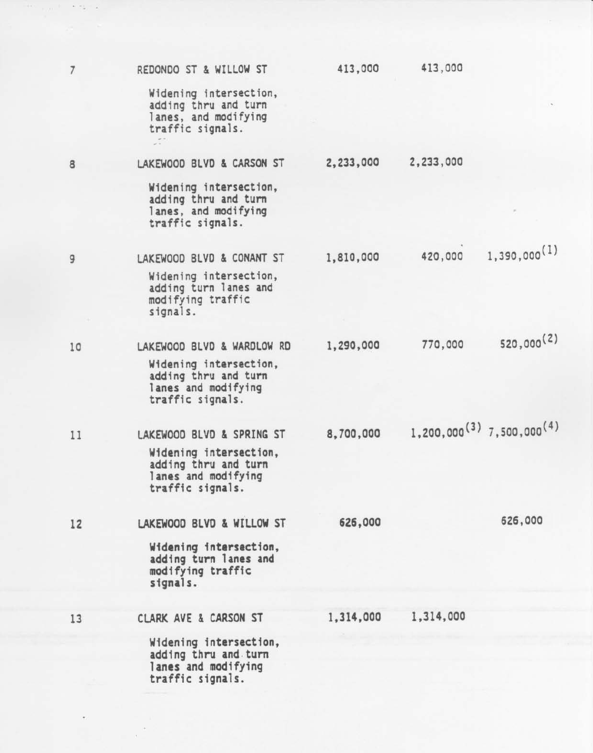| $\overline{7}$ | REDONDO ST & WILLOW ST                                                                     | 413,000   | 413,000   |                                            |
|----------------|--------------------------------------------------------------------------------------------|-----------|-----------|--------------------------------------------|
|                | Widening intersection,<br>adding thru and turn<br>lanes, and modifying<br>traffic signals. |           |           |                                            |
| 8              | LAKEWOOD BLVD & CARSON ST                                                                  | 2,233,000 | 2,233,000 |                                            |
|                | Widening intersection,<br>adding thru and turn<br>lanes, and modifying<br>traffic signals. |           |           |                                            |
| 9              | LAKEWOOD BLVD & CONANT ST                                                                  | 1,810,000 | 420,000   | 1,390,000(1)                               |
|                | Widening intersection,<br>adding turn lanes and<br>modifying traffic<br>signals.           |           |           |                                            |
| 10             | LAKEWOOD BLVD & WARDLOW RD                                                                 | 1,290,000 | 770,000   | 520,000(2)                                 |
|                | Widening intersection,<br>adding thru and turn<br>lanes and modifying<br>traffic signals.  |           |           |                                            |
| 11             | LAKEWOOD BLVD & SPRING ST                                                                  | 8,700,000 |           | $1,200,000^{(3)}$ 7,500,000 <sup>(4)</sup> |
|                | Widening intersection,<br>adding thru and turn<br>lanes and modifying<br>traffic signals.  |           |           |                                            |
| 12             | LAKEWOOD BLVD & WILLOW ST                                                                  | 626,000   |           | 626,000                                    |
|                | Widening intersection,<br>adding turn lanes and<br>modifying traffic<br>signals.           |           |           |                                            |
| 13             | CLARK AVE & CARSON ST                                                                      | 1,314,000 | 1,314,000 |                                            |
|                | Widening intersection,<br>adding thru and turn<br>lanes and modifying<br>twaffic cinnale   |           |           |                                            |

 $\epsilon=\epsilon_{\rm in}=\epsilon$ 

 $\bf{8}$ 

9